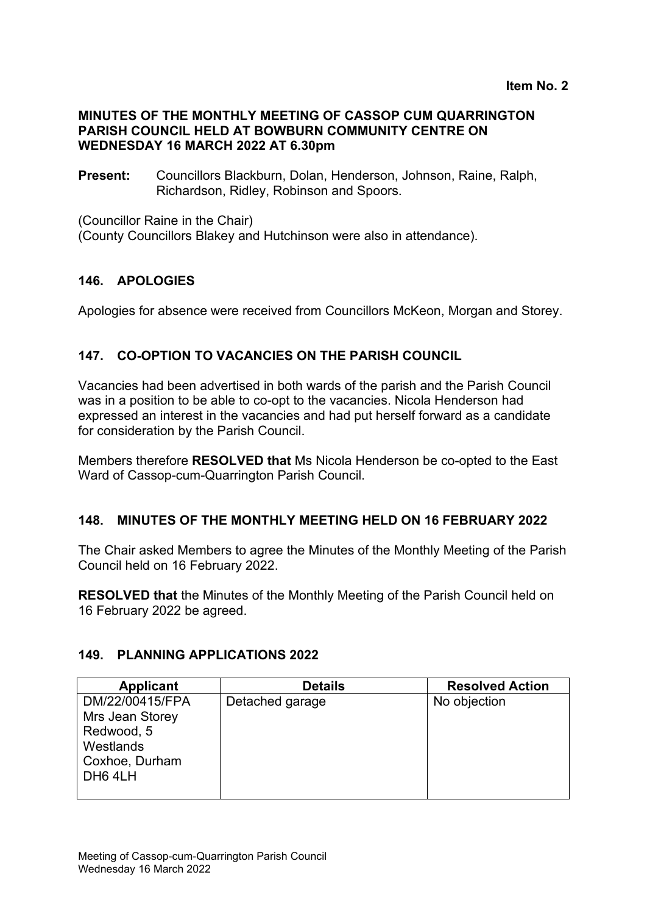### **MINUTES OF THE MONTHLY MEETING OF CASSOP CUM QUARRINGTON PARISH COUNCIL HELD AT BOWBURN COMMUNITY CENTRE ON WEDNESDAY 16 MARCH 2022 AT 6.30pm**

**Present:** Councillors Blackburn, Dolan, Henderson, Johnson, Raine, Ralph, Richardson, Ridley, Robinson and Spoors.

(Councillor Raine in the Chair)

(County Councillors Blakey and Hutchinson were also in attendance).

### **146. APOLOGIES**

Apologies for absence were received from Councillors McKeon, Morgan and Storey.

### **147. CO-OPTION TO VACANCIES ON THE PARISH COUNCIL**

Vacancies had been advertised in both wards of the parish and the Parish Council was in a position to be able to co-opt to the vacancies. Nicola Henderson had expressed an interest in the vacancies and had put herself forward as a candidate for consideration by the Parish Council.

Members therefore **RESOLVED that** Ms Nicola Henderson be co-opted to the East Ward of Cassop-cum-Quarrington Parish Council.

### **148. MINUTES OF THE MONTHLY MEETING HELD ON 16 FEBRUARY 2022**

The Chair asked Members to agree the Minutes of the Monthly Meeting of the Parish Council held on 16 February 2022.

**RESOLVED that** the Minutes of the Monthly Meeting of the Parish Council held on 16 February 2022 be agreed.

### **149. PLANNING APPLICATIONS 2022**

| <b>Applicant</b>                                                                           | <b>Details</b>  | <b>Resolved Action</b> |
|--------------------------------------------------------------------------------------------|-----------------|------------------------|
| DM/22/00415/FPA<br>Mrs Jean Storey<br>Redwood, 5<br>Westlands<br>Coxhoe, Durham<br>DH6 4LH | Detached garage | No objection           |
|                                                                                            |                 |                        |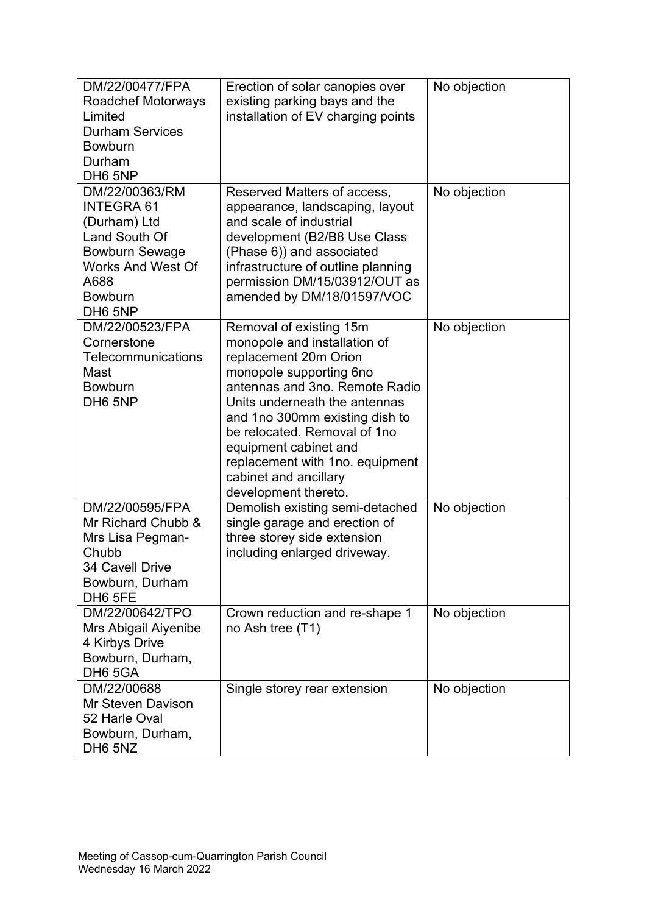| DM/22/00477/FPA<br><b>Roadchef Motorways</b><br>Limited<br><b>Durham Services</b><br><b>Bowburn</b><br>Durham                                                                                | Erection of solar canopies over<br>existing parking bays and the<br>installation of EV charging points                                                                                                                                                                                                                                                        | No objection |
|----------------------------------------------------------------------------------------------------------------------------------------------------------------------------------------------|---------------------------------------------------------------------------------------------------------------------------------------------------------------------------------------------------------------------------------------------------------------------------------------------------------------------------------------------------------------|--------------|
| DH6 5NP<br>DM/22/00363/RM<br><b>INTEGRA 61</b><br>(Durham) Ltd<br><b>Land South Of</b><br><b>Bowburn Sewage</b><br><b>Works And West Of</b><br>A688<br><b>Bowburn</b><br>DH <sub>6</sub> 5NP | Reserved Matters of access,<br>appearance, landscaping, layout<br>and scale of industrial<br>development (B2/B8 Use Class<br>(Phase 6)) and associated<br>infrastructure of outline planning<br>permission DM/15/03912/OUT as<br>amended by DM/18/01597/VOC                                                                                                   | No objection |
| DM/22/00523/FPA<br>Cornerstone<br>Telecommunications<br>Mast<br><b>Bowburn</b><br>DH <sub>6</sub> 5NP                                                                                        | Removal of existing 15m<br>monopole and installation of<br>replacement 20m Orion<br>monopole supporting 6no<br>antennas and 3no. Remote Radio<br>Units underneath the antennas<br>and 1no 300mm existing dish to<br>be relocated. Removal of 1no<br>equipment cabinet and<br>replacement with 1no. equipment<br>cabinet and ancillary<br>development thereto. | No objection |
| DM/22/00595/FPA<br>Mr Richard Chubb &<br>Mrs Lisa Pegman-<br>Chubb<br>34 Cavell Drive<br>Bowburn, Durham<br>DH <sub>6</sub> 5FE                                                              | Demolish existing semi-detached<br>single garage and erection of<br>three storey side extension<br>including enlarged driveway.                                                                                                                                                                                                                               | No objection |
| DM/22/00642/TPO<br>Mrs Abigail Aiyenibe<br>4 Kirbys Drive<br>Bowburn, Durham,<br>DH6 5GA                                                                                                     | Crown reduction and re-shape 1<br>no Ash tree (T1)                                                                                                                                                                                                                                                                                                            | No objection |
| DM/22/00688<br><b>Mr Steven Davison</b><br>52 Harle Oval<br>Bowburn, Durham,<br>DH <sub>6</sub> 5NZ                                                                                          | Single storey rear extension                                                                                                                                                                                                                                                                                                                                  | No objection |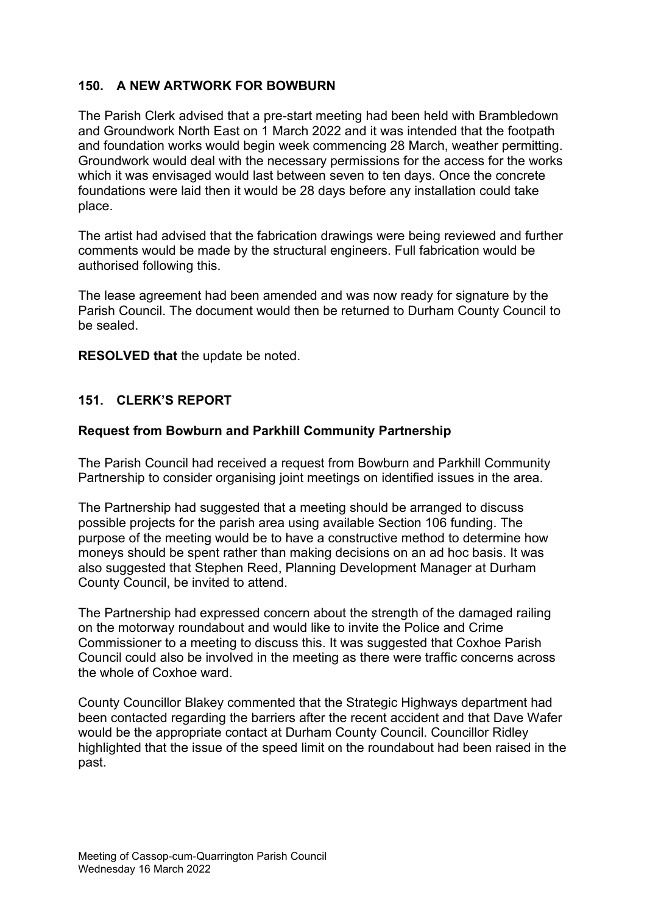# **150. A NEW ARTWORK FOR BOWBURN**

The Parish Clerk advised that a pre-start meeting had been held with Brambledown and Groundwork North East on 1 March 2022 and it was intended that the footpath and foundation works would begin week commencing 28 March, weather permitting. Groundwork would deal with the necessary permissions for the access for the works which it was envisaged would last between seven to ten days. Once the concrete foundations were laid then it would be 28 days before any installation could take place.

The artist had advised that the fabrication drawings were being reviewed and further comments would be made by the structural engineers. Full fabrication would be authorised following this.

The lease agreement had been amended and was now ready for signature by the Parish Council. The document would then be returned to Durham County Council to be sealed.

**RESOLVED that** the update be noted.

### **151. CLERK'S REPORT**

### **Request from Bowburn and Parkhill Community Partnership**

The Parish Council had received a request from Bowburn and Parkhill Community Partnership to consider organising joint meetings on identified issues in the area.

The Partnership had suggested that a meeting should be arranged to discuss possible projects for the parish area using available Section 106 funding. The purpose of the meeting would be to have a constructive method to determine how moneys should be spent rather than making decisions on an ad hoc basis. It was also suggested that Stephen Reed, Planning Development Manager at Durham County Council, be invited to attend.

The Partnership had expressed concern about the strength of the damaged railing on the motorway roundabout and would like to invite the Police and Crime Commissioner to a meeting to discuss this. It was suggested that Coxhoe Parish Council could also be involved in the meeting as there were traffic concerns across the whole of Coxhoe ward.

County Councillor Blakey commented that the Strategic Highways department had been contacted regarding the barriers after the recent accident and that Dave Wafer would be the appropriate contact at Durham County Council. Councillor Ridley highlighted that the issue of the speed limit on the roundabout had been raised in the past.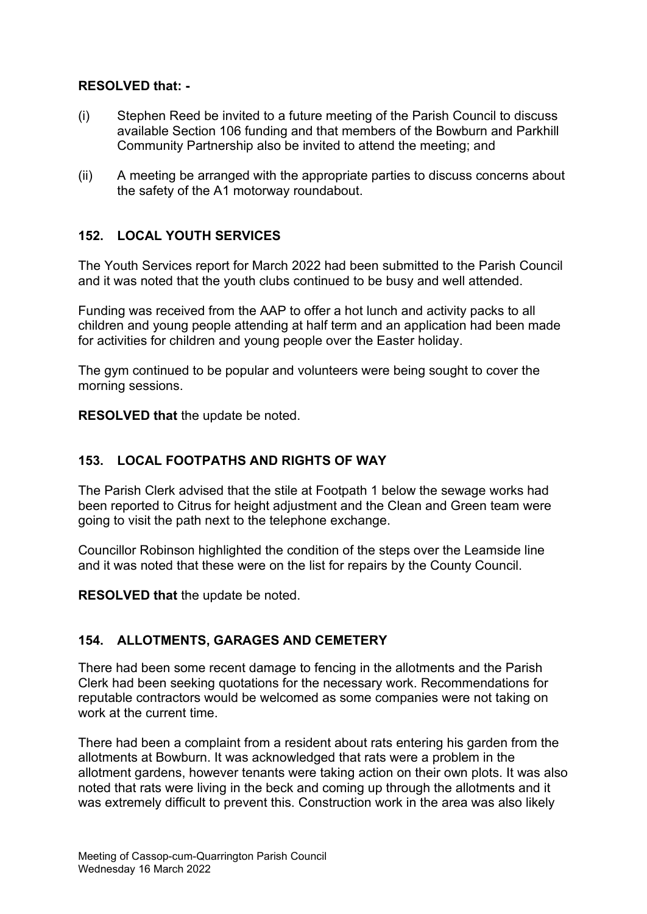## **RESOLVED that: -**

- (i) Stephen Reed be invited to a future meeting of the Parish Council to discuss available Section 106 funding and that members of the Bowburn and Parkhill Community Partnership also be invited to attend the meeting; and
- (ii) A meeting be arranged with the appropriate parties to discuss concerns about the safety of the A1 motorway roundabout.

# **152. LOCAL YOUTH SERVICES**

The Youth Services report for March 2022 had been submitted to the Parish Council and it was noted that the youth clubs continued to be busy and well attended.

Funding was received from the AAP to offer a hot lunch and activity packs to all children and young people attending at half term and an application had been made for activities for children and young people over the Easter holiday.

The gym continued to be popular and volunteers were being sought to cover the morning sessions.

**RESOLVED that** the update be noted.

## **153. LOCAL FOOTPATHS AND RIGHTS OF WAY**

The Parish Clerk advised that the stile at Footpath 1 below the sewage works had been reported to Citrus for height adjustment and the Clean and Green team were going to visit the path next to the telephone exchange.

Councillor Robinson highlighted the condition of the steps over the Leamside line and it was noted that these were on the list for repairs by the County Council.

**RESOLVED that** the update be noted.

## **154. ALLOTMENTS, GARAGES AND CEMETERY**

There had been some recent damage to fencing in the allotments and the Parish Clerk had been seeking quotations for the necessary work. Recommendations for reputable contractors would be welcomed as some companies were not taking on work at the current time.

There had been a complaint from a resident about rats entering his garden from the allotments at Bowburn. It was acknowledged that rats were a problem in the allotment gardens, however tenants were taking action on their own plots. It was also noted that rats were living in the beck and coming up through the allotments and it was extremely difficult to prevent this. Construction work in the area was also likely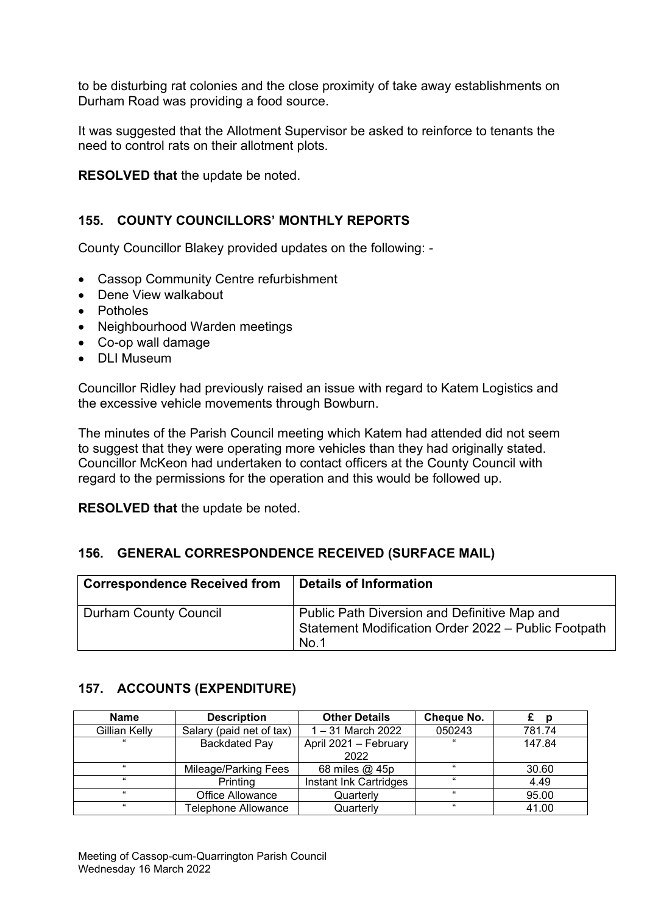to be disturbing rat colonies and the close proximity of take away establishments on Durham Road was providing a food source.

It was suggested that the Allotment Supervisor be asked to reinforce to tenants the need to control rats on their allotment plots.

**RESOLVED that** the update be noted.

## **155. COUNTY COUNCILLORS' MONTHLY REPORTS**

County Councillor Blakey provided updates on the following: -

- Cassop Community Centre refurbishment
- Dene View walkabout
- Potholes
- Neighbourhood Warden meetings
- Co-op wall damage
- DLI Museum

Councillor Ridley had previously raised an issue with regard to Katem Logistics and the excessive vehicle movements through Bowburn.

The minutes of the Parish Council meeting which Katem had attended did not seem to suggest that they were operating more vehicles than they had originally stated. Councillor McKeon had undertaken to contact officers at the County Council with regard to the permissions for the operation and this would be followed up.

**RESOLVED that** the update be noted.

## **156. GENERAL CORRESPONDENCE RECEIVED (SURFACE MAIL)**

| <b>Correspondence Received from</b> | <b>Details of Information</b>                                                                               |
|-------------------------------------|-------------------------------------------------------------------------------------------------------------|
| <b>Durham County Council</b>        | Public Path Diversion and Definitive Map and<br>Statement Modification Order 2022 - Public Footpath<br>No.1 |

## **157. ACCOUNTS (EXPENDITURE)**

| <b>Name</b>   | <b>Description</b>       | <b>Other Details</b>   | Cheque No. | D      |
|---------------|--------------------------|------------------------|------------|--------|
| Gillian Kelly | Salary (paid net of tax) | $1 - 31$ March 2022    | 050243     | 781.74 |
| $\epsilon$    | <b>Backdated Pay</b>     | April 2021 - February  | 66         | 147.84 |
|               |                          | 2022                   |            |        |
| "             | Mileage/Parking Fees     | 68 miles @ 45p         | "          | 30.60  |
| $\epsilon$    | Printing                 | Instant Ink Cartridges | "          | 4.49   |
| $\alpha$      | Office Allowance         | Quarterly              | "          | 95.00  |
| $\alpha$      | Telephone Allowance      | Quarterly              | "          | 41.00  |